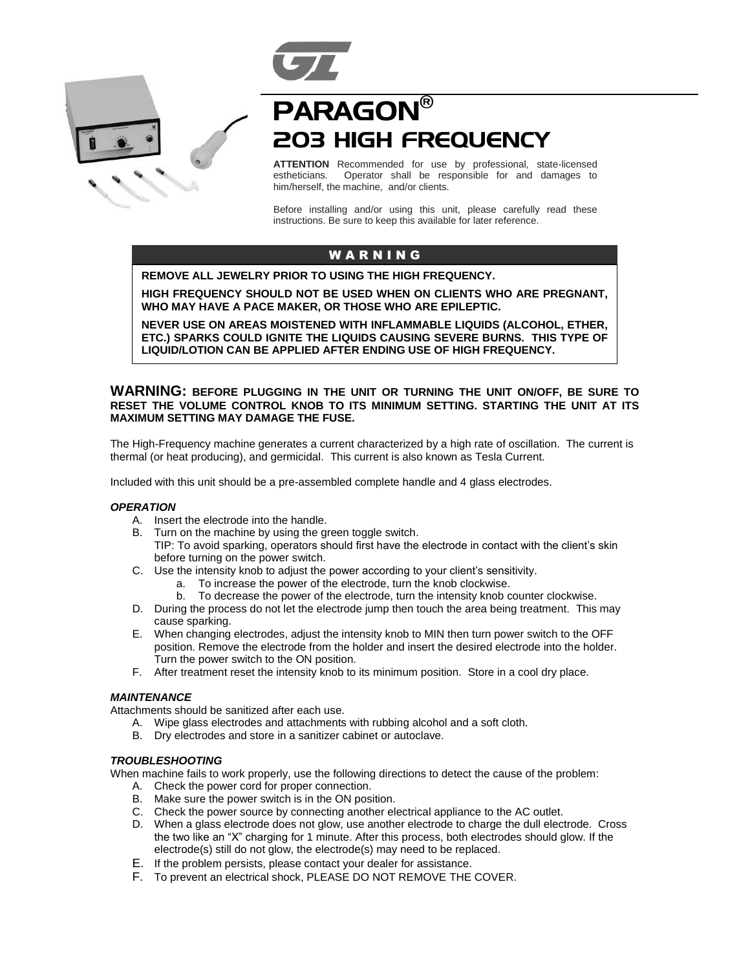



# PARAGON® 203 HIGH FREQUENCY

**ATTENTION** Recommended for use by professional, state-licensed estheticians. Operator shall be responsible for and damages to Operator shall be responsible for and damages to him/herself, the machine, and/or clients.

Before installing and/or using this unit, please carefully read these instructions. Be sure to keep this available for later reference.

# W A R N I N G

**REMOVE ALL JEWELRY PRIOR TO USING THE HIGH FREQUENCY.**

**HIGH FREQUENCY SHOULD NOT BE USED WHEN ON CLIENTS WHO ARE PREGNANT, WHO MAY HAVE A PACE MAKER, OR THOSE WHO ARE EPILEPTIC.**

**NEVER USE ON AREAS MOISTENED WITH INFLAMMABLE LIQUIDS (ALCOHOL, ETHER, ETC.) SPARKS COULD IGNITE THE LIQUIDS CAUSING SEVERE BURNS. THIS TYPE OF LIQUID/LOTION CAN BE APPLIED AFTER ENDING USE OF HIGH FREQUENCY.**

# **WARNING: BEFORE PLUGGING IN THE UNIT OR TURNING THE UNIT ON/OFF, BE SURE TO RESET THE VOLUME CONTROL KNOB TO ITS MINIMUM SETTING. STARTING THE UNIT AT ITS MAXIMUM SETTING MAY DAMAGE THE FUSE.**

The High-Frequency machine generates a current characterized by a high rate of oscillation. The current is thermal (or heat producing), and germicidal. This current is also known as Tesla Current.

Included with this unit should be a pre-assembled complete handle and 4 glass electrodes.

# *OPERATION*

- A. Insert the electrode into the handle.
- B. Turn on the machine by using the green toggle switch.
	- TIP: To avoid sparking, operators should first have the electrode in contact with the client's skin before turning on the power switch.
- C. Use the intensity knob to adjust the power according to your client's sensitivity.
	- a. To increase the power of the electrode, turn the knob clockwise.
	- b. To decrease the power of the electrode, turn the intensity knob counter clockwise.
- D. During the process do not let the electrode jump then touch the area being treatment. This may cause sparking.
- E. When changing electrodes, adjust the intensity knob to MIN then turn power switch to the OFF position. Remove the electrode from the holder and insert the desired electrode into the holder. Turn the power switch to the ON position.
- F. After treatment reset the intensity knob to its minimum position. Store in a cool dry place.

# *MAINTENANCE*

Attachments should be sanitized after each use.

- A. Wipe glass electrodes and attachments with rubbing alcohol and a soft cloth.
- B. Dry electrodes and store in a sanitizer cabinet or autoclave.

## *TROUBLESHOOTING*

When machine fails to work properly, use the following directions to detect the cause of the problem:

- A. Check the power cord for proper connection.
- B. Make sure the power switch is in the ON position.
- C. Check the power source by connecting another electrical appliance to the AC outlet.
- D. When a glass electrode does not glow, use another electrode to charge the dull electrode. Cross the two like an "X" charging for 1 minute. After this process, both electrodes should glow. If the electrode(s) still do not glow, the electrode(s) may need to be replaced.
- E. If the problem persists, please contact your dealer for assistance.
- F. To prevent an electrical shock, PLEASE DO NOT REMOVE THE COVER.